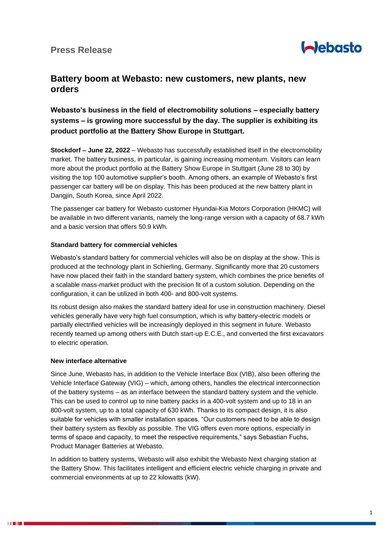

# **Battery boom at Webasto: new customers, new plants, new orders**

## **Webasto's business in the field of electromobility solutions – especially battery systems – is growing more successful by the day. The supplier is exhibiting its product portfolio at the Battery Show Europe in Stuttgart.**

**Stockdorf – June 22, 2022** – Webasto has successfully established itself in the electromobility market. The battery business, in particular, is gaining increasing momentum. Visitors can learn more about the product portfolio at the Battery Show Europe in Stuttgart (June 28 to 30) by visiting the top 100 automotive supplier's booth. Among others, an example of Webasto's first passenger car battery will be on display. This has been produced at the new battery plant in Dangjin, South Korea, since April 2022.

The passenger car battery for Webasto customer Hyundai-Kia Motors Corporation (HKMC) will be available in two different variants, namely the long-range version with a capacity of 68.7 kWh and a basic version that offers 50.9 kWh.

### **Standard battery for commercial vehicles**

Webasto's standard battery for commercial vehicles will also be on display at the show. This is produced at the technology plant in Schierling, Germany. Significantly more that 20 customers have now placed their faith in the standard battery system, which combines the price benefits of a scalable mass-market product with the precision fit of a custom solution. Depending on the configuration, it can be utilized in both 400- and 800-volt systems.

Its robust design also makes the standard battery ideal for use in construction machinery. Diesel vehicles generally have very high fuel consumption, which is why battery-electric models or partially electrified vehicles will be increasingly deployed in this segment in future. Webasto recently teamed up among others with Dutch start-up E.C.E., and converted the first excavators to electric operation.

#### **New interface alternative**

Since June, Webasto has, in addition to the Vehicle Interface Box (VIB), also been offering the Vehicle Interface Gateway (VIG) – which, among others, handles the electrical interconnection of the battery systems – as an interface between the standard battery system and the vehicle. This can be used to control up to nine battery packs in a 400-volt system and up to 18 in an 800-volt system, up to a total capacity of 630 kWh. Thanks to its compact design, it is also suitable for vehicles with smaller installation spaces. "Our customers need to be able to design their battery system as flexibly as possible. The VIG offers even more options, especially in terms of space and capacity, to meet the respective requirements," says Sebastian Fuchs, Product Manager Batteries at Webasto.

In addition to battery systems, Webasto will also exhibit the Webasto Next charging station at the Battery Show. This facilitates intelligent and efficient electric vehicle charging in private and commercial environments at up to 22 kilowatts (kW).